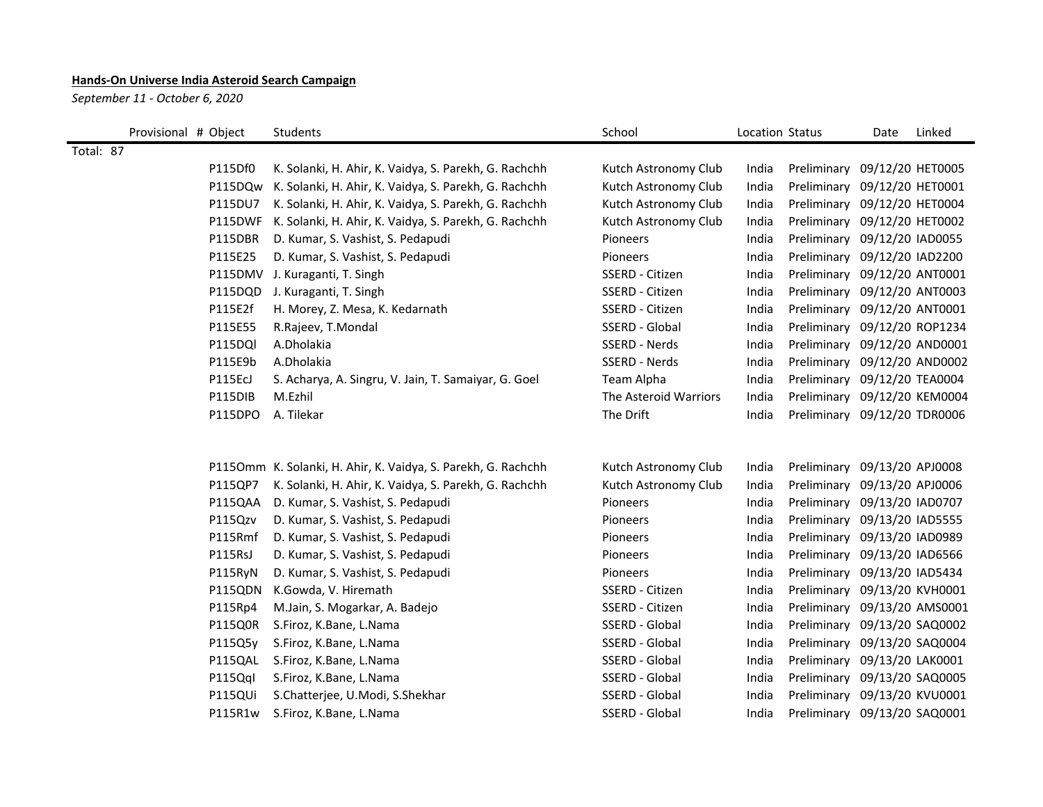## **Hands-On Universe India Asteroid Search Campaign**

*September 11 - October 6, 2020*

| Provisional # Object | Students                                                      | School                | Location Status |                              | Date | Linked |
|----------------------|---------------------------------------------------------------|-----------------------|-----------------|------------------------------|------|--------|
| Total: 87            |                                                               |                       |                 |                              |      |        |
| P115Df0              | K. Solanki, H. Ahir, K. Vaidya, S. Parekh, G. Rachchh         | Kutch Astronomy Club  | India           | Preliminary 09/12/20 HET0005 |      |        |
| P115DQw              | K. Solanki, H. Ahir, K. Vaidya, S. Parekh, G. Rachchh         | Kutch Astronomy Club  | India           | Preliminary 09/12/20 HET0001 |      |        |
| P115DU7              | K. Solanki, H. Ahir, K. Vaidya, S. Parekh, G. Rachchh         | Kutch Astronomy Club  | India           | Preliminary 09/12/20 HET0004 |      |        |
| P115DWF              | K. Solanki, H. Ahir, K. Vaidya, S. Parekh, G. Rachchh         | Kutch Astronomy Club  | India           | Preliminary 09/12/20 HET0002 |      |        |
| P115DBR              | D. Kumar, S. Vashist, S. Pedapudi                             | Pioneers              | India           | Preliminary 09/12/20 IAD0055 |      |        |
| P115E25              | D. Kumar, S. Vashist, S. Pedapudi                             | Pioneers              | India           | Preliminary 09/12/20 IAD2200 |      |        |
| P115DMV              | J. Kuraganti, T. Singh                                        | SSERD - Citizen       | India           | Preliminary 09/12/20 ANT0001 |      |        |
| P115DQD              | J. Kuraganti, T. Singh                                        | SSERD - Citizen       | India           | Preliminary 09/12/20 ANT0003 |      |        |
| P115E2f              | H. Morey, Z. Mesa, K. Kedarnath                               | SSERD - Citizen       | India           | Preliminary 09/12/20 ANT0001 |      |        |
| P115E55              | R.Rajeev, T.Mondal                                            | SSERD - Global        | India           | Preliminary 09/12/20 ROP1234 |      |        |
| P115DQI              | A.Dholakia                                                    | SSERD - Nerds         | India           | Preliminary 09/12/20 AND0001 |      |        |
| P115E9b              | A.Dholakia                                                    | SSERD - Nerds         | India           | Preliminary 09/12/20 AND0002 |      |        |
| P115EcJ              | S. Acharya, A. Singru, V. Jain, T. Samaiyar, G. Goel          | Team Alpha            | India           | Preliminary 09/12/20 TEA0004 |      |        |
| P115DIB              | M.Ezhil                                                       | The Asteroid Warriors | India           | Preliminary 09/12/20 KEM0004 |      |        |
| P115DPO              | A. Tilekar                                                    | The Drift             | India           | Preliminary 09/12/20 TDR0006 |      |        |
|                      |                                                               |                       |                 |                              |      |        |
|                      |                                                               |                       |                 |                              |      |        |
|                      | P1150mm K. Solanki, H. Ahir, K. Vaidya, S. Parekh, G. Rachchh | Kutch Astronomy Club  | India           | Preliminary 09/13/20 APJ0008 |      |        |
| P115QP7              | K. Solanki, H. Ahir, K. Vaidya, S. Parekh, G. Rachchh         | Kutch Astronomy Club  | India           | Preliminary 09/13/20 APJ0006 |      |        |
| P115QAA              | D. Kumar, S. Vashist, S. Pedapudi                             | Pioneers              | India           | Preliminary 09/13/20 IAD0707 |      |        |
| P115Qzv              | D. Kumar, S. Vashist, S. Pedapudi                             | Pioneers              | India           | Preliminary 09/13/20 IAD5555 |      |        |
| P115Rmf              | D. Kumar, S. Vashist, S. Pedapudi                             | Pioneers              | India           | Preliminary 09/13/20 IAD0989 |      |        |
| P115RsJ              | D. Kumar, S. Vashist, S. Pedapudi                             | Pioneers              | India           | Preliminary 09/13/20 IAD6566 |      |        |
| P115RyN              | D. Kumar, S. Vashist, S. Pedapudi                             | Pioneers              | India           | Preliminary 09/13/20 IAD5434 |      |        |
| P115QDN              | K.Gowda, V. Hiremath                                          | SSERD - Citizen       | India           | Preliminary 09/13/20 KVH0001 |      |        |
| P115Rp4              | M.Jain, S. Mogarkar, A. Badejo                                | SSERD - Citizen       | India           | Preliminary 09/13/20 AMS0001 |      |        |
| P115Q0R              | S.Firoz, K.Bane, L.Nama                                       | SSERD - Global        | India           | Preliminary 09/13/20 SAQ0002 |      |        |
| P115Q5y              | S.Firoz, K.Bane, L.Nama                                       | SSERD - Global        | India           | Preliminary 09/13/20 SAQ0004 |      |        |
| P115QAL              | S.Firoz, K.Bane, L.Nama                                       | SSERD - Global        | India           | Preliminary 09/13/20 LAK0001 |      |        |
| P115Qql              | S.Firoz, K.Bane, L.Nama                                       | SSERD - Global        | India           | Preliminary 09/13/20 SAQ0005 |      |        |
| P115QUi              | S.Chatterjee, U.Modi, S.Shekhar                               | SSERD - Global        | India           | Preliminary 09/13/20 KVU0001 |      |        |
| P115R1w              | S.Firoz, K.Bane, L.Nama                                       | SSERD - Global        | India           | Preliminary 09/13/20 SAQ0001 |      |        |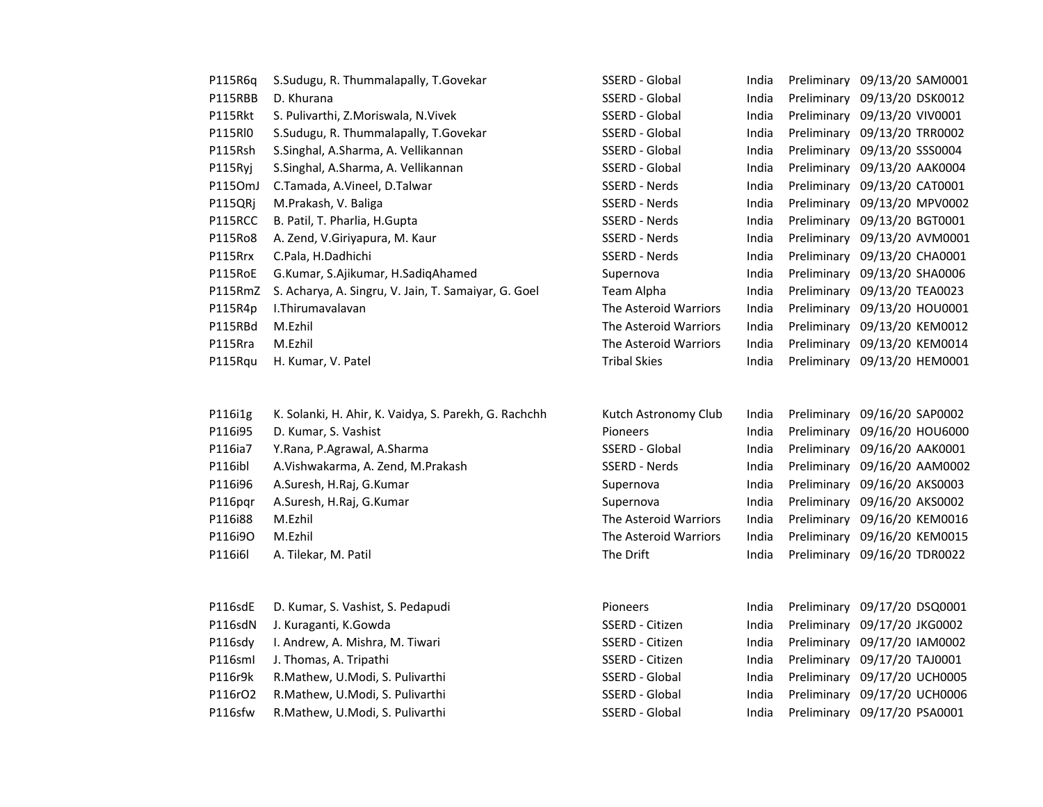| P115R6q | S.Sudugu, R. Thummalapally, T.Govekar                 | SSERD - Global        | India |             | Preliminary 09/13/20 SAM0001 |
|---------|-------------------------------------------------------|-----------------------|-------|-------------|------------------------------|
| P115RBB | D. Khurana                                            | SSERD - Global        | India |             | Preliminary 09/13/20 DSK0012 |
| P115Rkt | S. Pulivarthi, Z.Moriswala, N.Vivek                   | SSERD - Global        | India |             | Preliminary 09/13/20 VIV0001 |
| P115RI0 | S.Sudugu, R. Thummalapally, T.Govekar                 | SSERD - Global        | India |             | Preliminary 09/13/20 TRR0002 |
| P115Rsh | S.Singhal, A.Sharma, A. Vellikannan                   | SSERD - Global        | India |             | Preliminary 09/13/20 SSS0004 |
| P115Ryj | S.Singhal, A.Sharma, A. Vellikannan                   | SSERD - Global        | India |             | Preliminary 09/13/20 AAK0004 |
| P1150mJ | C.Tamada, A.Vineel, D.Talwar                          | SSERD - Nerds         | India |             | Preliminary 09/13/20 CAT0001 |
| P115QRj | M.Prakash, V. Baliga                                  | SSERD - Nerds         | India | Preliminary | 09/13/20 MPV0002             |
| P115RCC | B. Patil, T. Pharlia, H.Gupta                         | SSERD - Nerds         | India | Preliminary | 09/13/20 BGT0001             |
| P115Ro8 | A. Zend, V.Giriyapura, M. Kaur                        | SSERD - Nerds         | India | Preliminary | 09/13/20 AVM0001             |
| P115Rrx | C.Pala, H.Dadhichi                                    | SSERD - Nerds         | India | Preliminary | 09/13/20 CHA0001             |
| P115RoE | G.Kumar, S.Ajikumar, H.SadiqAhamed                    | Supernova             | India | Preliminary | 09/13/20 SHA0006             |
| P115RmZ | S. Acharya, A. Singru, V. Jain, T. Samaiyar, G. Goel  | Team Alpha            | India |             | Preliminary 09/13/20 TEA0023 |
| P115R4p | I.Thirumavalavan                                      | The Asteroid Warriors | India |             | Preliminary 09/13/20 HOU0001 |
| P115RBd | M.Ezhil                                               | The Asteroid Warriors | India |             | Preliminary 09/13/20 KEM0012 |
| P115Rra | M.Ezhil                                               | The Asteroid Warriors | India |             | Preliminary 09/13/20 KEM0014 |
| P115Rqu | H. Kumar, V. Patel                                    | <b>Tribal Skies</b>   | India |             | Preliminary 09/13/20 HEM0001 |
|         |                                                       |                       |       |             |                              |
|         |                                                       |                       |       |             |                              |
| P116i1g | K. Solanki, H. Ahir, K. Vaidya, S. Parekh, G. Rachchh | Kutch Astronomy Club  | India |             | Preliminary 09/16/20 SAP0002 |
| P116i95 | D. Kumar, S. Vashist                                  | Pioneers              | India | Preliminary | 09/16/20 HOU6000             |
| P116ia7 | Y.Rana, P.Agrawal, A.Sharma                           | SSERD - Global        | India | Preliminary | 09/16/20 AAK0001             |
| P116ibl | A.Vishwakarma, A. Zend, M.Prakash                     | SSERD - Nerds         | India | Preliminary | 09/16/20 AAM0002             |
| P116i96 | A.Suresh, H.Raj, G.Kumar                              | Supernova             | India |             | Preliminary 09/16/20 AKS0003 |
| P116pqr | A.Suresh, H.Raj, G.Kumar                              | Supernova             | India |             | Preliminary 09/16/20 AKS0002 |
| P116i88 | M.Ezhil                                               | The Asteroid Warriors | India |             | Preliminary 09/16/20 KEM0016 |
| P116i9O | M.Ezhil                                               | The Asteroid Warriors | India |             | Preliminary 09/16/20 KEM0015 |
| P116i6l | A. Tilekar, M. Patil                                  | The Drift             | India |             | Preliminary 09/16/20 TDR0022 |
|         |                                                       |                       |       |             |                              |
| P116sdE | D. Kumar, S. Vashist, S. Pedapudi                     | Pioneers              | India |             | Preliminary 09/17/20 DSQ0001 |
| P116sdN | J. Kuraganti, K.Gowda                                 | SSERD - Citizen       | India |             | Preliminary 09/17/20 JKG0002 |
| P116sdy | I. Andrew, A. Mishra, M. Tiwari                       | SSERD - Citizen       | India |             | Preliminary 09/17/20 IAM0002 |
| P116sml | J. Thomas, A. Tripathi                                | SSERD - Citizen       | India | Preliminary | 09/17/20 TAJ0001             |
| P116r9k | R.Mathew, U.Modi, S. Pulivarthi                       | SSERD - Global        | India | Preliminary | 09/17/20 UCH0005             |
| P116rO2 | R.Mathew, U.Modi, S. Pulivarthi                       | SSERD - Global        | India |             | Preliminary 09/17/20 UCH0006 |
|         |                                                       |                       |       |             |                              |

P116sfw R.Mathew, U.Modi, S. Pulivarthi SSERD - Global India Preliminary 09/17/20 PSA0001